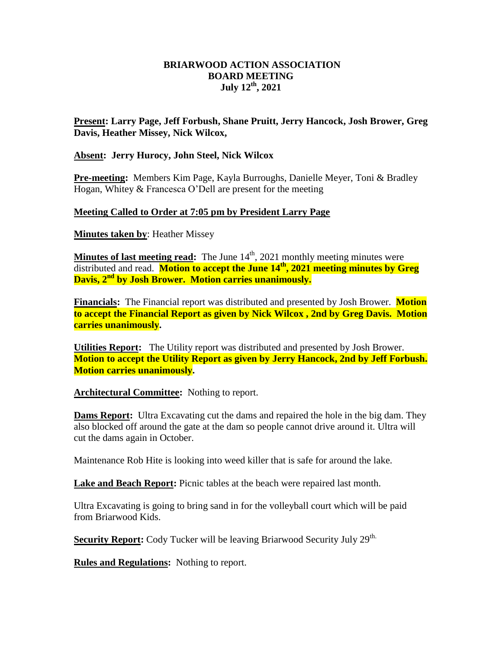# **BRIARWOOD ACTION ASSOCIATION BOARD MEETING July 12 th, 2021**

# **Present: Larry Page, Jeff Forbush, Shane Pruitt, Jerry Hancock, Josh Brower, Greg Davis, Heather Missey, Nick Wilcox,**

#### **Absent: Jerry Hurocy, John Steel, Nick Wilcox**

**Pre-meeting:** Members Kim Page, Kayla Burroughs, Danielle Meyer, Toni & Bradley Hogan, Whitey & Francesca O'Dell are present for the meeting

# **Meeting Called to Order at 7:05 pm by President Larry Page**

**Minutes taken by**: Heather Missey

**Minutes of last meeting read:** The June  $14<sup>th</sup>$ , 2021 monthly meeting minutes were distributed and read. **Motion to accept the June 14 th, 2021 meeting minutes by Greg Davis, 2nd by Josh Brower. Motion carries unanimously.**

**Financials:** The Financial report was distributed and presented by Josh Brower. **Motion to accept the Financial Report as given by Nick Wilcox , 2nd by Greg Davis. Motion carries unanimously.** 

**Utilities Report:** The Utility report was distributed and presented by Josh Brower. **Motion to accept the Utility Report as given by Jerry Hancock, 2nd by Jeff Forbush. Motion carries unanimously.** 

**Architectural Committee:** Nothing to report.

**Dams Report:** Ultra Excavating cut the dams and repaired the hole in the big dam. They also blocked off around the gate at the dam so people cannot drive around it. Ultra will cut the dams again in October.

Maintenance Rob Hite is looking into weed killer that is safe for around the lake.

**Lake and Beach Report:** Picnic tables at the beach were repaired last month.

Ultra Excavating is going to bring sand in for the volleyball court which will be paid from Briarwood Kids.

**Security Report:** Cody Tucker will be leaving Briarwood Security July 29<sup>th.</sup>

**Rules and Regulations:** Nothing to report.